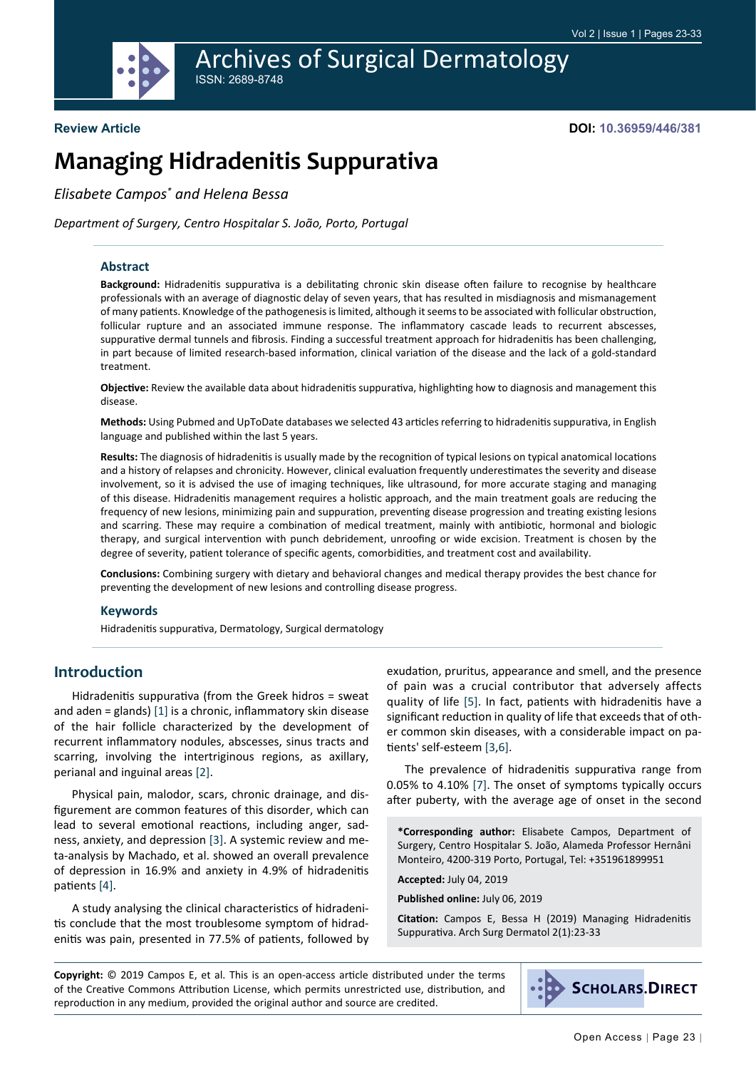

# **Review Article**

**DOI: 10.36959/446/381**

# **Managing Hidradenitis Suppurativa**

*Elisabete Campos\* and Helena Bessa*

*Department of Surgery, Centro Hospitalar S. João, Porto, Portugal*

#### **Abstract**

**Background:** Hidradenitis suppurativa is a debilitating chronic skin disease often failure to recognise by healthcare professionals with an average of diagnostic delay of seven years, that has resulted in misdiagnosis and mismanagement of many patients. Knowledge of the pathogenesis is limited, although it seems to be associated with follicular obstruction, follicular rupture and an associated immune response. The inflammatory cascade leads to recurrent abscesses, suppurative dermal tunnels and fibrosis. Finding a successful treatment approach for hidradenitis has been challenging, in part because of limited research-based information, clinical variation of the disease and the lack of a gold-standard treatment.

**Objective:** Review the available data about hidradenitis suppurativa, highlighting how to diagnosis and management this disease.

**Methods:** Using Pubmed and UpToDate databases we selected 43 articles referring to hidradenitis suppurativa, in English language and published within the last 5 years.

**Results:** The diagnosis of hidradenitis is usually made by the recognition of typical lesions on typical anatomical locations and a history of relapses and chronicity. However, clinical evaluation frequently underestimates the severity and disease involvement, so it is advised the use of imaging techniques, like ultrasound, for more accurate staging and managing of this disease. Hidradenitis management requires a holistic approach, and the main treatment goals are reducing the frequency of new lesions, minimizing pain and suppuration, preventing disease progression and treating existing lesions and scarring. These may require a combination of medical treatment, mainly with antibiotic, hormonal and biologic therapy, and surgical intervention with punch debridement, unroofing or wide excision. Treatment is chosen by the degree of severity, patient tolerance of specific agents, comorbidities, and treatment cost and availability.

**Conclusions:** Combining surgery with dietary and behavioral changes and medical therapy provides the best chance for preventing the development of new lesions and controlling disease progress.

#### **Keywords**

Hidradenitis suppurativa, Dermatology, Surgical dermatology

# **Introduction**

Hidradenitis suppurativa (from the Greek hidros = sweat and aden = glands)  $[1]$  $[1]$  is a chronic, inflammatory skin disease of the hair follicle characterized by the development of recurrent inflammatory nodules, abscesses, sinus tracts and scarring, involving the intertriginous regions, as axillary, perianal and inguinal areas [\[2](#page-9-1)].

Physical pain, malodor, scars, chronic drainage, and disfigurement are common features of this disorder, which can lead to several emotional reactions, including anger, sadness, anxiety, and depression [[3\]](#page-9-2). A systemic review and meta-analysis by Machado, et al. showed an overall prevalence of depression in 16.9% and anxiety in 4.9% of hidradenitis patients [[4](#page-9-3)].

A study analysing the clinical characteristics of hidradenitis conclude that the most troublesome symptom of hidradenitis was pain, presented in 77.5% of patients, followed by exudation, pruritus, appearance and smell, and the presence of pain was a crucial contributor that adversely affects quality of life [\[5\]](#page-9-4). In fact, patients with hidradenitis have a significant reduction in quality of life that exceeds that of other common skin diseases, with a considerable impact on patients' self-esteem [\[3](#page-9-2),[6\]](#page-9-5).

The prevalence of hidradenitis suppurativa range from 0.05% to 4.10% [\[7](#page-9-6)]. The onset of symptoms typically occurs after puberty, with the average age of onset in the second

**\*Corresponding author:** Elisabete Campos, Department of Surgery, Centro Hospitalar S. João, Alameda Professor Hernâni Monteiro, 4200-319 Porto, Portugal, Tel: +351961899951

**Accepted:** July 04, 2019

**Published online:** July 06, 2019

**Citation:** Campos E, Bessa H (2019) Managing Hidradenitis Suppurativa. Arch Surg Dermatol 2(1):23-33

**Copyright:** © 2019 Campos E, et al. This is an open-access article distributed under the terms of the Creative Commons Attribution License, which permits unrestricted use, distribution, and reproduction in any medium, provided the original author and source are credited.

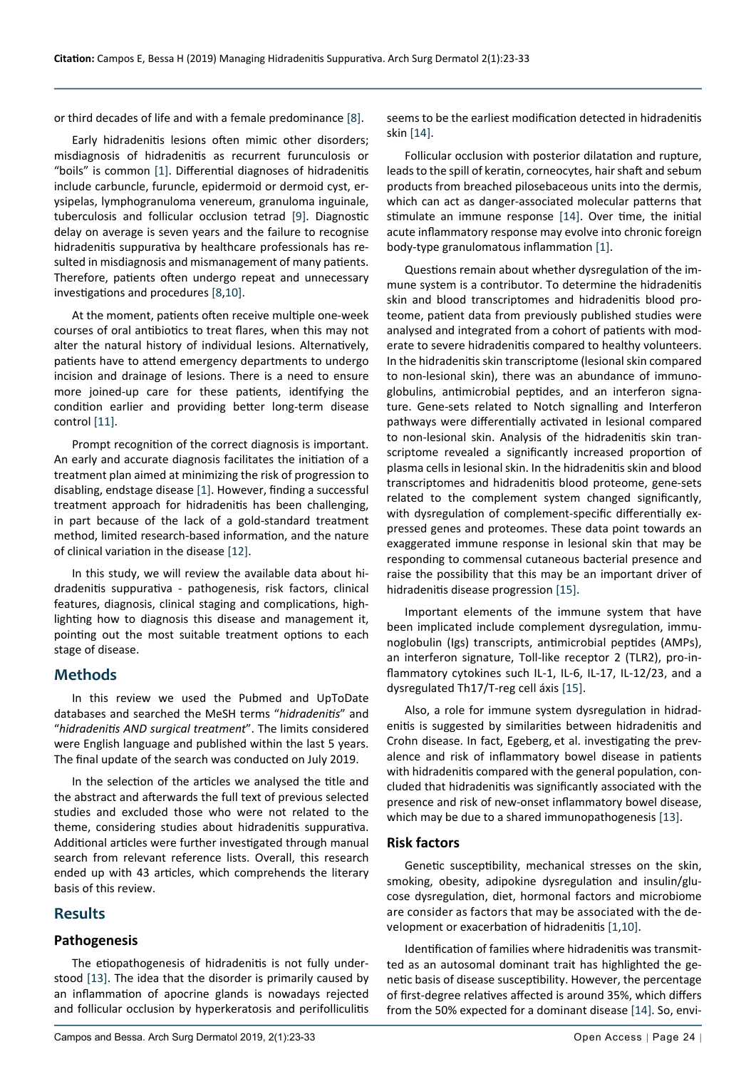or third decades of life and with a female predominance [\[8](#page-9-11)].

Early hidradenitis lesions often mimic other disorders; misdiagnosis of hidradenitis as recurrent furunculosis or "boils" is common [[1\]](#page-9-0). Differential diagnoses of hidradenitis include carbuncle, furuncle, epidermoid or dermoid cyst, erysipelas, lymphogranuloma venereum, granuloma inguinale, tuberculosis and follicular occlusion tetrad [[9\]](#page-9-12). Diagnostic delay on average is seven years and the failure to recognise hidradenitis suppurativa by healthcare professionals has resulted in misdiagnosis and mismanagement of many patients. Therefore, patients often undergo repeat and unnecessary investigations and procedures [[8](#page-9-11)[,10](#page-9-10)].

At the moment, patients often receive multiple one-week courses of oral antibiotics to treat flares, when this may not alter the natural history of individual lesions. Alternatively, patients have to attend emergency departments to undergo incision and drainage of lesions. There is a need to ensure more joined-up care for these patients, identifying the condition earlier and providing better long-term disease control [\[11](#page-9-13)].

Prompt recognition of the correct diagnosis is important. An early and accurate diagnosis facilitates the initiation of a treatment plan aimed at minimizing the risk of progression to disabling, endstage disease [\[1](#page-9-0)]. However, finding a successful treatment approach for hidradenitis has been challenging, in part because of the lack of a gold-standard treatment method, limited research-based information, and the nature of clinical variation in the disease [\[12\]](#page-9-14).

In this study, we will review the available data about hidradenitis suppurativa - pathogenesis, risk factors, clinical features, diagnosis, clinical staging and complications, highlighting how to diagnosis this disease and management it, pointing out the most suitable treatment options to each stage of disease.

# **Methods**

In this review we used the Pubmed and UpToDate databases and searched the MeSH terms "*hidradenitis*" and "*hidradenitis AND surgical treatment*". The limits considered were English language and published within the last 5 years. The final update of the search was conducted on July 2019.

In the selection of the articles we analysed the title and the abstract and afterwards the full text of previous selected studies and excluded those who were not related to the theme, considering studies about hidradenitis suppurativa. Additional articles were further investigated through manual search from relevant reference lists. Overall, this research ended up with 43 articles, which comprehends the literary basis of this review.

# **Results**

#### **Pathogenesis**

The etiopathogenesis of hidradenitis is not fully understood [[13\]](#page-9-9). The idea that the disorder is primarily caused by an inflammation of apocrine glands is nowadays rejected and follicular occlusion by hyperkeratosis and perifolliculitis seems to be the earliest modification detected in hidradenitis skin [\[14](#page-9-7)].

Follicular occlusion with posterior dilatation and rupture, leads to the spill of keratin, corneocytes, hair shaft and sebum products from breached pilosebaceous units into the dermis, which can act as danger-associated molecular patterns that stimulate an immune response [[14\]](#page-9-7). Over time, the initial acute inflammatory response may evolve into chronic foreign body-type granulomatous inflammation [\[1](#page-9-0)].

Questions remain about whether dysregulation of the immune system is a contributor. To determine the hidradenitis skin and blood transcriptomes and hidradenitis blood proteome, patient data from previously published studies were analysed and integrated from a cohort of patients with moderate to severe hidradenitis compared to healthy volunteers. In the hidradenitis skin transcriptome (lesional skin compared to non-lesional skin), there was an abundance of immunoglobulins, antimicrobial peptides, and an interferon signature. Gene-sets related to Notch signalling and Interferon pathways were differentially activated in lesional compared to non-lesional skin. Analysis of the hidradenitis skin transcriptome revealed a significantly increased proportion of plasma cells in lesional skin. In the hidradenitis skin and blood transcriptomes and hidradenitis blood proteome, gene-sets related to the complement system changed significantly, with dysregulation of complement-specific differentially expressed genes and proteomes. These data point towards an exaggerated immune response in lesional skin that may be responding to commensal cutaneous bacterial presence and raise the possibility that this may be an important driver of hidradenitis disease progression [[15](#page-9-8)].

Important elements of the immune system that have been implicated include complement dysregulation, immunoglobulin (Igs) transcripts, antimicrobial peptides (AMPs), an interferon signature, Toll-like receptor 2 (TLR2), pro-inflammatory cytokines such IL-1, IL-6, IL-17, IL-12/23, and a dysregulated Th17/T-reg cell áxis [[15\]](#page-9-8).

Also, a role for immune system dysregulation in hidradenitis is suggested by similarities between hidradenitis and Crohn disease. In fact, Egeberg, et al. investigating the prevalence and risk of inflammatory bowel disease in patients with hidradenitis compared with the general population, concluded that hidradenitis was significantly associated with the presence and risk of new-onset inflammatory bowel disease, which may be due to a shared immunopathogenesis [\[13](#page-9-9)].

#### **Risk factors**

Genetic susceptibility, mechanical stresses on the skin, smoking, obesity, adipokine dysregulation and insulin/glucose dysregulation, diet, hormonal factors and microbiome are consider as factors that may be associated with the development or exacerbation of hidradenitis [[1](#page-9-0)[,10\]](#page-9-10).

Identification of families where hidradenitis was transmitted as an autosomal dominant trait has highlighted the genetic basis of disease susceptibility. However, the percentage of first-degree relatives affected is around 35%, which differs from the 50% expected for a dominant disease [\[14](#page-9-7)]. So, envi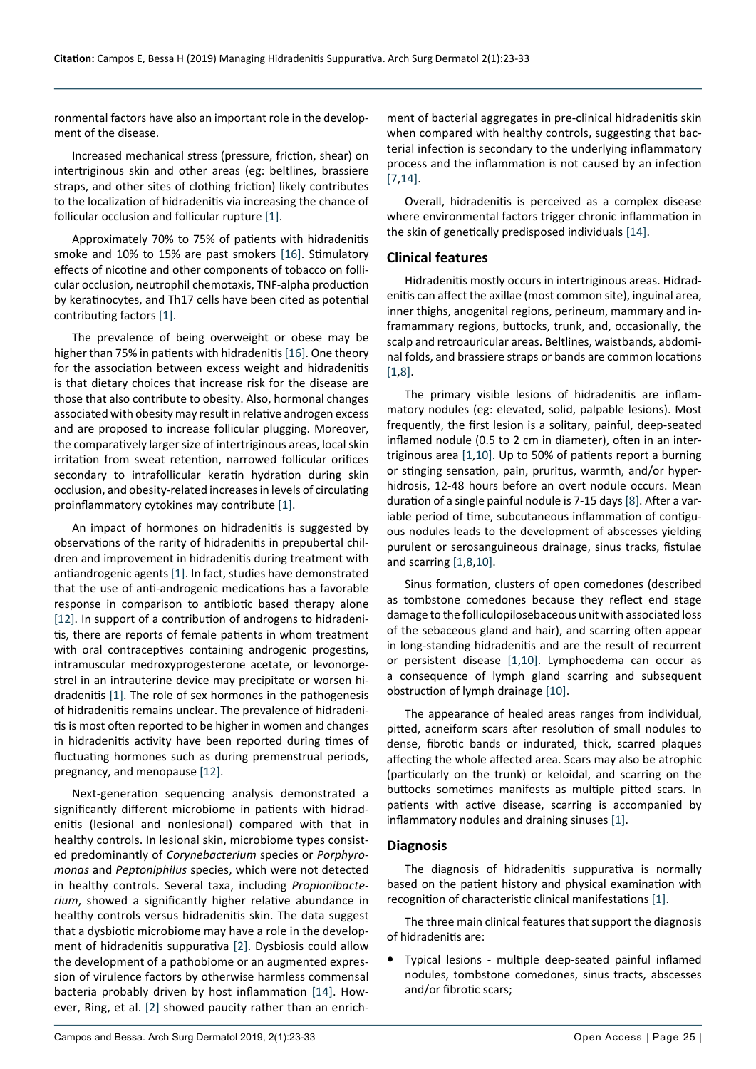ronmental factors have also an important role in the development of the disease.

Increased mechanical stress (pressure, friction, shear) on intertriginous skin and other areas (eg: beltlines, brassiere straps, and other sites of clothing friction) likely contributes to the localization of hidradenitis via increasing the chance of follicular occlusion and follicular rupture [[1\]](#page-9-0).

Approximately 70% to 75% of patients with hidradenitis smoke and 10% to 15% are past smokers [\[16](#page-9-15)]. Stimulatory effects of nicotine and other components of tobacco on follicular occlusion, neutrophil chemotaxis, TNF-alpha production by keratinocytes, and Th17 cells have been cited as potential contributing factors [\[1](#page-9-0)].

The prevalence of being overweight or obese may be higher than 75% in patients with hidradenitis [\[16\]](#page-9-15). One theory for the association between excess weight and hidradenitis is that dietary choices that increase risk for the disease are those that also contribute to obesity. Also, hormonal changes associated with obesity may result in relative androgen excess and are proposed to increase follicular plugging. Moreover, the comparatively larger size of intertriginous areas, local skin irritation from sweat retention, narrowed follicular orifices secondary to intrafollicular keratin hydration during skin occlusion, and obesity-related increases in levels of circulating proinflammatory cytokines may contribute [\[1](#page-9-0)].

An impact of hormones on hidradenitis is suggested by observations of the rarity of hidradenitis in prepubertal children and improvement in hidradenitis during treatment with antiandrogenic agents [[1\]](#page-9-0). In fact, studies have demonstrated that the use of anti-androgenic medications has a favorable response in comparison to antibiotic based therapy alone [[12\]](#page-9-14). In support of a contribution of androgens to hidradenitis, there are reports of female patients in whom treatment with oral contraceptives containing androgenic progestins, intramuscular medroxyprogesterone acetate, or levonorgestrel in an intrauterine device may precipitate or worsen hidradenitis [\[1](#page-9-0)]. The role of sex hormones in the pathogenesis of hidradenitis remains unclear. The prevalence of hidradenitis is most often reported to be higher in women and changes in hidradenitis activity have been reported during times of fluctuating hormones such as during premenstrual periods, pregnancy, and menopause [\[12](#page-9-14)].

Next-generation sequencing analysis demonstrated a significantly different microbiome in patients with hidradenitis (lesional and nonlesional) compared with that in healthy controls. In lesional skin, microbiome types consisted predominantly of *Corynebacterium* species or *Porphyromonas* and *Peptoniphilus* species, which were not detected in healthy controls. Several taxa, including *Propionibacterium*, showed a significantly higher relative abundance in healthy controls versus hidradenitis skin. The data suggest that a dysbiotic microbiome may have a role in the development of hidradenitis suppurativa [[2](#page-9-1)]. Dysbiosis could allow the development of a pathobiome or an augmented expression of virulence factors by otherwise harmless commensal bacteria probably driven by host inflammation [[14](#page-9-7)]. However, Ring, et al. [\[2\]](#page-9-1) showed paucity rather than an enrichment of bacterial aggregates in pre-clinical hidradenitis skin when compared with healthy controls, suggesting that bacterial infection is secondary to the underlying inflammatory process and the inflammation is not caused by an infection [[7](#page-9-6),[14\]](#page-9-7).

Overall, hidradenitis is perceived as a complex disease where environmental factors trigger chronic inflammation in the skin of genetically predisposed individuals [\[14](#page-9-7)].

#### **Clinical features**

Hidradenitis mostly occurs in intertriginous areas. Hidradenitis can affect the axillae (most common site), inguinal area, inner thighs, anogenital regions, perineum, mammary and inframammary regions, buttocks, trunk, and, occasionally, the scalp and retroauricular areas. Beltlines, waistbands, abdominal folds, and brassiere straps or bands are common locations [[1](#page-9-0)[,8](#page-9-11)].

The primary visible lesions of hidradenitis are inflammatory nodules (eg: elevated, solid, palpable lesions). Most frequently, the first lesion is a solitary, painful, deep-seated inflamed nodule (0.5 to 2 cm in diameter), often in an intertriginous area [[1](#page-9-0),[10\]](#page-9-10). Up to 50% of patients report a burning or stinging sensation, pain, pruritus, warmth, and/or hyperhidrosis, 12-48 hours before an overt nodule occurs. Mean duration of a single painful nodule is 7-15 days [\[8\]](#page-9-11). After a variable period of time, subcutaneous inflammation of contiguous nodules leads to the development of abscesses yielding purulent or serosanguineous drainage, sinus tracks, fistulae and scarring [[1](#page-9-0)[,8](#page-9-11),[10](#page-9-10)].

Sinus formation, clusters of open comedones (described as tombstone comedones because they reflect end stage damage to the folliculopilosebaceous unit with associated loss of the sebaceous gland and hair), and scarring often appear in long-standing hidradenitis and are the result of recurrent or persistent disease [[1](#page-9-0)[,10\]](#page-9-10). Lymphoedema can occur as a consequence of lymph gland scarring and subsequent obstruction of lymph drainage [[10](#page-9-10)].

The appearance of healed areas ranges from individual, pitted, acneiform scars after resolution of small nodules to dense, fibrotic bands or indurated, thick, scarred plaques affecting the whole affected area. Scars may also be atrophic (particularly on the trunk) or keloidal, and scarring on the buttocks sometimes manifests as multiple pitted scars. In patients with active disease, scarring is accompanied by inflammatory nodules and draining sinuses [\[1\]](#page-9-0).

#### **Diagnosis**

The diagnosis of hidradenitis suppurativa is normally based on the patient history and physical examination with recognition of characteristic clinical manifestations [\[1](#page-9-0)].

The three main clinical features that support the diagnosis of hidradenitis are:

Typical lesions - multiple deep-seated painful inflamed nodules, tombstone comedones, sinus tracts, abscesses and/or fibrotic scars;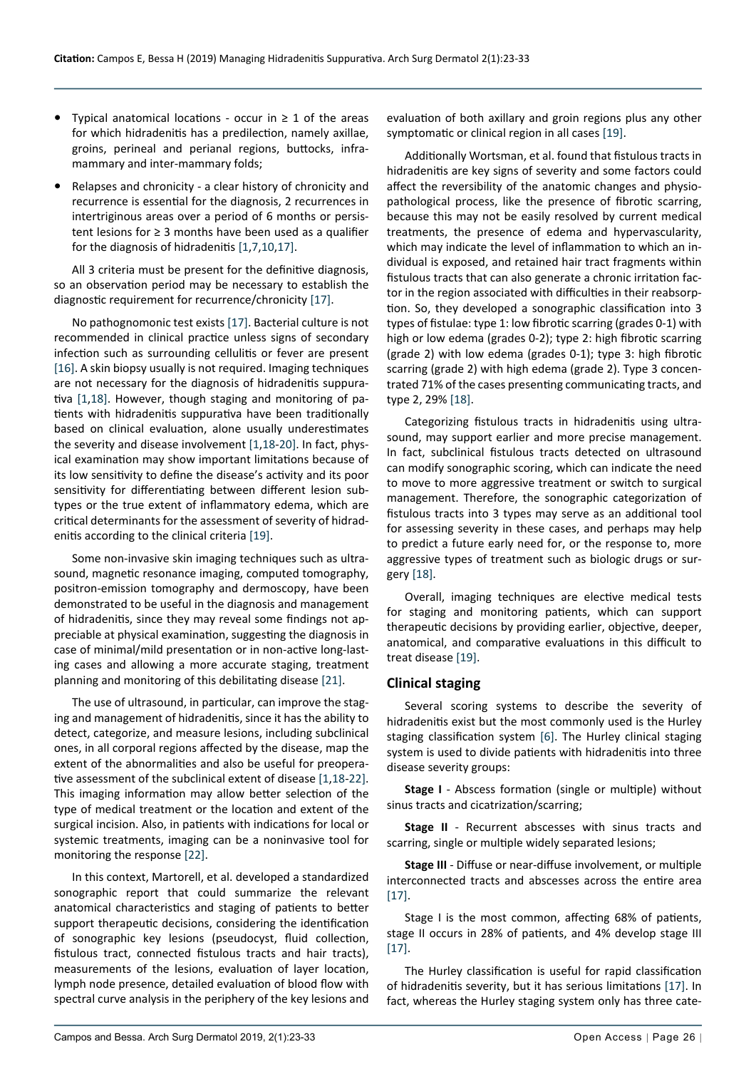- **Typical anatomical locations occur in**  $\geq 1$  **of the areas** for which hidradenitis has a predilection, namely axillae, groins, perineal and perianal regions, buttocks, inframammary and inter-mammary folds;
- **•**  Relapses and chronicity a clear history of chronicity and recurrence is essential for the diagnosis, 2 recurrences in intertriginous areas over a period of 6 months or persistent lesions for ≥ 3 months have been used as a qualifier for the diagnosis of hidradenitis [[1,](#page-9-0)[7](#page-9-6),[10](#page-9-10),[17\]](#page-9-18).

All 3 criteria must be present for the definitive diagnosis, so an observation period may be necessary to establish the diagnostic requirement for recurrence/chronicity [\[17\]](#page-9-18).

No pathognomonic test exists [\[17](#page-9-18)]. Bacterial culture is not recommended in clinical practice unless signs of secondary infection such as surrounding cellulitis or fever are present [[16\]](#page-9-15). A skin biopsy usually is not required. Imaging techniques are not necessary for the diagnosis of hidradenitis suppurativa [[1](#page-9-0)[,18\]](#page-9-17). However, though staging and monitoring of patients with hidradenitis suppurativa have been traditionally based on clinical evaluation, alone usually underestimates the severity and disease involvement [\[1](#page-9-0),[18-](#page-9-17)[20](#page-9-19)]. In fact, physical examination may show important limitations because of its low sensitivity to define the disease's activity and its poor sensitivity for differentiating between different lesion subtypes or the true extent of inflammatory edema, which are critical determinants for the assessment of severity of hidradenitis according to the clinical criteria [\[19\]](#page-9-16).

Some non-invasive skin imaging techniques such as ultrasound, magnetic resonance imaging, computed tomography, positron-emission tomography and dermoscopy, have been demonstrated to be useful in the diagnosis and management of hidradenitis, since they may reveal some findings not appreciable at physical examination, suggesting the diagnosis in case of minimal/mild presentation or in non-active long-lasting cases and allowing a more accurate staging, treatment planning and monitoring of this debilitating disease [\[21](#page-9-20)].

The use of ultrasound, in particular, can improve the staging and management of hidradenitis, since it has the ability to detect, categorize, and measure lesions, including subclinical ones, in all corporal regions affected by the disease, map the extent of the abnormalities and also be useful for preoperative assessment of the subclinical extent of disease [\[1](#page-9-0),[18-](#page-9-17)[22\]](#page-9-21). This imaging information may allow better selection of the type of medical treatment or the location and extent of the surgical incision. Also, in patients with indications for local or systemic treatments, imaging can be a noninvasive tool for monitoring the response [\[22](#page-9-21)].

In this context, Martorell, et al. developed a standardized sonographic report that could summarize the relevant anatomical characteristics and staging of patients to better support therapeutic decisions, considering the identification of sonographic key lesions (pseudocyst, fluid collection, fistulous tract, connected fistulous tracts and hair tracts), measurements of the lesions, evaluation of layer location, lymph node presence, detailed evaluation of blood flow with spectral curve analysis in the periphery of the key lesions and

evaluation of both axillary and groin regions plus any other symptomatic or clinical region in all cases [[19\]](#page-9-16).

Additionally Wortsman, et al. found that fistulous tracts in hidradenitis are key signs of severity and some factors could affect the reversibility of the anatomic changes and physiopathological process, like the presence of fibrotic scarring, because this may not be easily resolved by current medical treatments, the presence of edema and hypervascularity, which may indicate the level of inflammation to which an individual is exposed, and retained hair tract fragments within fistulous tracts that can also generate a chronic irritation factor in the region associated with difficulties in their reabsorption. So, they developed a sonographic classification into 3 types of fistulae: type 1: low fibrotic scarring (grades 0-1) with high or low edema (grades 0-2); type 2: high fibrotic scarring (grade 2) with low edema (grades 0-1); type 3: high fibrotic scarring (grade 2) with high edema (grade 2). Type 3 concentrated 71% of the cases presenting communicating tracts, and type 2, 29% [[18\]](#page-9-17).

Categorizing fistulous tracts in hidradenitis using ultrasound, may support earlier and more precise management. In fact, subclinical fistulous tracts detected on ultrasound can modify sonographic scoring, which can indicate the need to move to more aggressive treatment or switch to surgical management. Therefore, the sonographic categorization of fistulous tracts into 3 types may serve as an additional tool for assessing severity in these cases, and perhaps may help to predict a future early need for, or the response to, more aggressive types of treatment such as biologic drugs or surgery [[18\]](#page-9-17).

Overall, imaging techniques are elective medical tests for staging and monitoring patients, which can support therapeutic decisions by providing earlier, objective, deeper, anatomical, and comparative evaluations in this difficult to treat disease [\[19\]](#page-9-16).

# **Clinical staging**

Several scoring systems to describe the severity of hidradenitis exist but the most commonly used is the Hurley staging classification system [[6\]](#page-9-5). The Hurley clinical staging system is used to divide patients with hidradenitis into three disease severity groups:

**Stage I** - Abscess formation (single or multiple) without sinus tracts and cicatrization/scarring;

**Stage II** - Recurrent abscesses with sinus tracts and scarring, single or multiple widely separated lesions;

**Stage III** - Diffuse or near-diffuse involvement, or multiple interconnected tracts and abscesses across the entire area [[17\]](#page-9-18).

Stage I is the most common, affecting 68% of patients, stage II occurs in 28% of patients, and 4% develop stage III [[17\]](#page-9-18).

The Hurley classification is useful for rapid classification of hidradenitis severity, but it has serious limitations [[17\]](#page-9-18). In fact, whereas the Hurley staging system only has three cate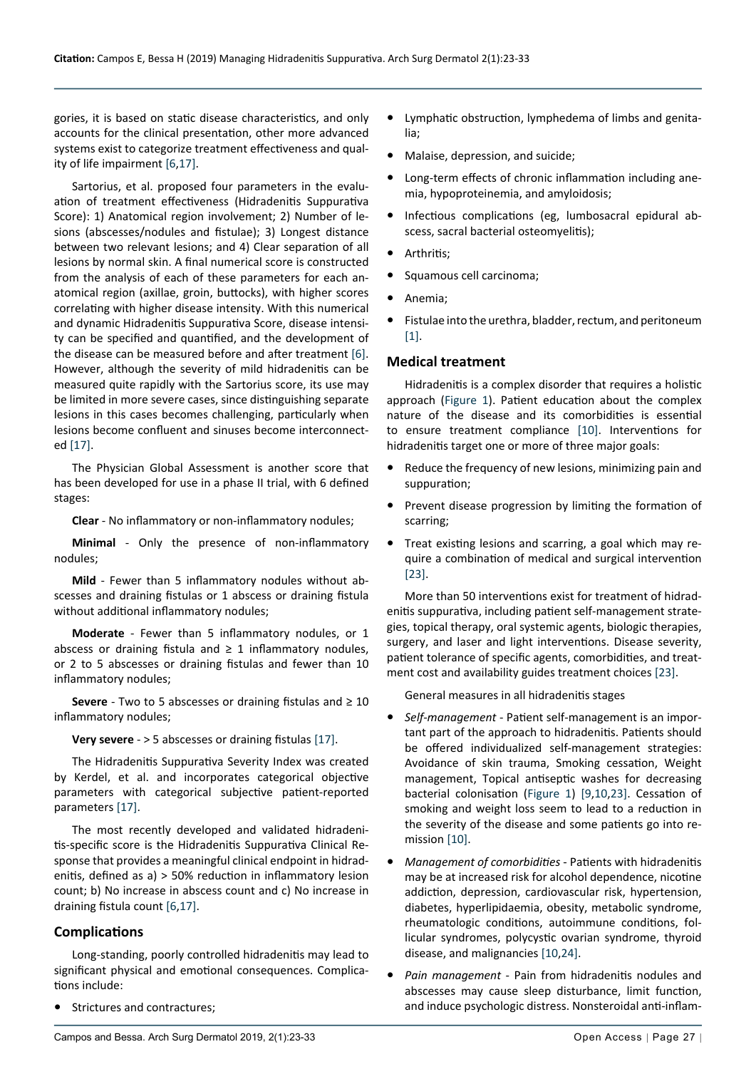gories, it is based on static disease characteristics, and only accounts for the clinical presentation, other more advanced systems exist to categorize treatment effectiveness and quality of life impairment [\[6](#page-9-5),[17](#page-9-18)].

Sartorius, et al. proposed four parameters in the evaluation of treatment effectiveness (Hidradenitis Suppurativa Score): 1) Anatomical region involvement; 2) Number of lesions (abscesses/nodules and fistulae); 3) Longest distance between two relevant lesions; and 4) Clear separation of all lesions by normal skin. A final numerical score is constructed from the analysis of each of these parameters for each anatomical region (axillae, groin, buttocks), with higher scores correlating with higher disease intensity. With this numerical and dynamic Hidradenitis Suppurativa Score, disease intensity can be specified and quantified, and the development of the disease can be measured before and after treatment [[6\]](#page-9-5). However, although the severity of mild hidradenitis can be measured quite rapidly with the Sartorius score, its use may be limited in more severe cases, since distinguishing separate lesions in this cases becomes challenging, particularly when lesions become confluent and sinuses become interconnected [\[17](#page-9-18)].

The Physician Global Assessment is another score that has been developed for use in a phase II trial, with 6 defined stages:

**Clear** - No inflammatory or non-inflammatory nodules;

**Minimal** - Only the presence of non-inflammatory nodules;

**Mild** - Fewer than 5 inflammatory nodules without abscesses and draining fistulas or 1 abscess or draining fistula without additional inflammatory nodules;

**Moderate** - Fewer than 5 inflammatory nodules, or 1 abscess or draining fistula and  $\geq 1$  inflammatory nodules, or 2 to 5 abscesses or draining fistulas and fewer than 10 inflammatory nodules;

**Severe** - Two to 5 abscesses or draining fistulas and ≥ 10 inflammatory nodules;

**Very severe** - > 5 abscesses or draining fistulas [[17\]](#page-9-18).

The Hidradenitis Suppurativa Severity Index was created by Kerdel, et al. and incorporates categorical objective parameters with categorical subjective patient-reported parameters [[17\]](#page-9-18).

The most recently developed and validated hidradenitis-specific score is the Hidradenitis Suppurativa Clinical Response that provides a meaningful clinical endpoint in hidradenitis, defined as a) > 50% reduction in inflammatory lesion count; b) No increase in abscess count and c) No increase in draining fistula count [[6](#page-9-5),[17\]](#page-9-18).

# **Complications**

Long-standing, poorly controlled hidradenitis may lead to significant physical and emotional consequences. Complications include:

**Strictures and contractures;** 

- **•**  Lymphatic obstruction, lymphedema of limbs and genitalia;
- **•**  Malaise, depression, and suicide;
- **•**  Long-term effects of chronic inflammation including anemia, hypoproteinemia, and amyloidosis;
- **•**  Infectious complications (eg, lumbosacral epidural abscess, sacral bacterial osteomyelitis);
- **•**  Arthritis;
- **•**  Squamous cell carcinoma;
- **•**  Anemia;
- **•**  Fistulae into the urethra, bladder, rectum, and peritoneum [[1](#page-9-0)].

### **Medical treatment**

Hidradenitis is a complex disorder that requires a holistic approach [\(Figure 1\)](#page-5-0). Patient education about the complex nature of the disease and its comorbidities is essential to ensure treatment compliance [\[10](#page-9-10)]. Interventions for hidradenitis target one or more of three major goals:

- **•**  Reduce the frequency of new lesions, minimizing pain and suppuration;
- Prevent disease progression by limiting the formation of scarring;
- Treat existing lesions and scarring, a goal which may require a combination of medical and surgical intervention [[23](#page-9-22)].

More than 50 interventions exist for treatment of hidradenitis suppurativa, including patient self-management strategies, topical therapy, oral systemic agents, biologic therapies, surgery, and laser and light interventions. Disease severity, patient tolerance of specific agents, comorbidities, and treatment cost and availability guides treatment choices [[23\]](#page-9-22).

General measures in all hidradenitis stages

- **•**  *Self-management* Patient self-management is an important part of the approach to hidradenitis. Patients should be offered individualized self-management strategies: Avoidance of skin trauma, Smoking cessation, Weight management, Topical antiseptic washes for decreasing bacterial colonisation ([Figure 1](#page-5-0)) [[9](#page-9-12)[,10](#page-9-10),[23](#page-9-22)]. Cessation of smoking and weight loss seem to lead to a reduction in the severity of the disease and some patients go into remission [\[10](#page-9-10)].
- **•**  *Management of comorbidities* Patients with hidradenitis may be at increased risk for alcohol dependence, nicotine addiction, depression, cardiovascular risk, hypertension, diabetes, hyperlipidaemia, obesity, metabolic syndrome, rheumatologic conditions, autoimmune conditions, follicular syndromes, polycystic ovarian syndrome, thyroid disease, and malignancies [\[10,](#page-9-10)[24](#page-9-23)].
- **•**  *Pain management* Pain from hidradenitis nodules and abscesses may cause sleep disturbance, limit function, and induce psychologic distress. Nonsteroidal anti-inflam-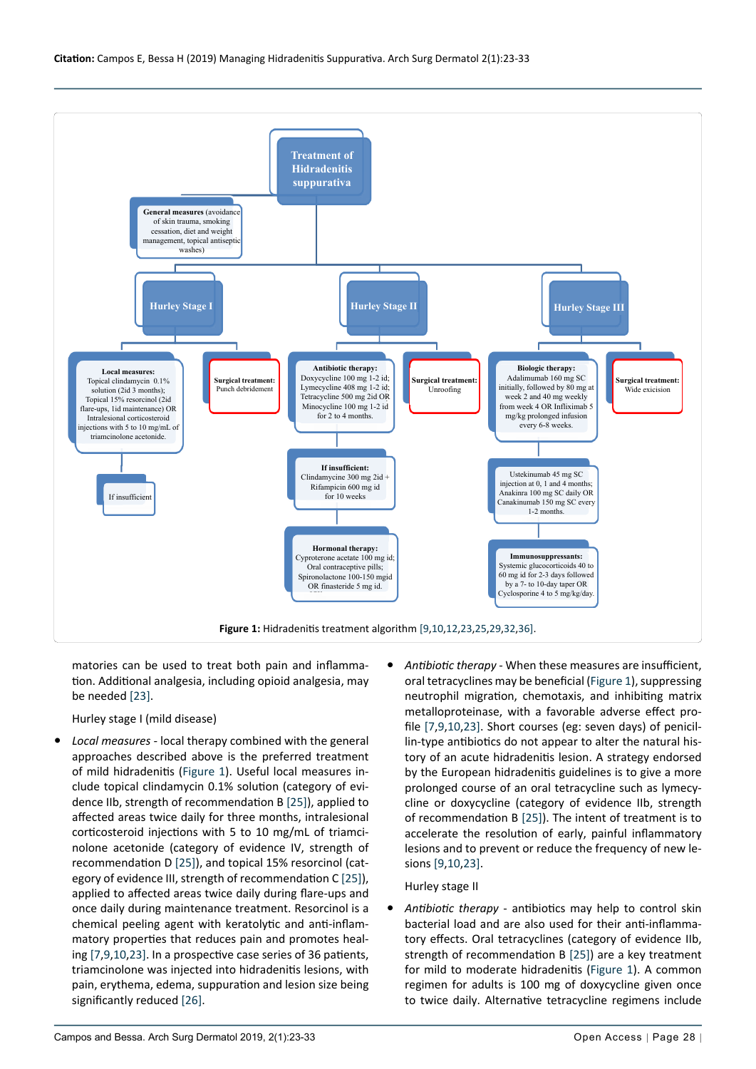<span id="page-5-0"></span>

matories can be used to treat both pain and inflammation. Additional analgesia, including opioid analgesia, may be needed [\[23](#page-9-22)].

Hurley stage I (mild disease)

- Local measures local therapy combined with the general approaches described above is the preferred treatment of mild hidradenitis ([Figure 1](#page-5-0)). Useful local measures include topical clindamycin 0.1% solution (category of evidence IIb, strength of recommendation B [[25\]](#page-9-24)), applied to affected areas twice daily for three months, intralesional corticosteroid injections with 5 to 10 mg/mL of triamcinolone acetonide (category of evidence IV, strength of recommendation D [[25](#page-9-24)]), and topical 15% resorcinol (category of evidence III, strength of recommendation C [[25\]](#page-9-24)), applied to affected areas twice daily during flare-ups and once daily during maintenance treatment. Resorcinol is a chemical peeling agent with keratolytic and anti-inflammatory properties that reduces pain and promotes healing [\[7](#page-9-6),[9](#page-9-12)[,10](#page-9-10),[23](#page-9-22)]. In a prospective case series of 36 patients, triamcinolone was injected into hidradenitis lesions, with pain, erythema, edema, suppuration and lesion size being significantly reduced [[26](#page-9-25)].
- Antibiotic therapy When these measures are insufficient, oral tetracyclines may be beneficial [\(Figure 1](#page-5-0)), suppressing neutrophil migration, chemotaxis, and inhibiting matrix metalloproteinase, with a favorable adverse effect profile [\[7](#page-9-6)[,9](#page-9-12),[10,](#page-9-10)[23](#page-9-22)]. Short courses (eg: seven days) of penicillin-type antibiotics do not appear to alter the natural history of an acute hidradenitis lesion. A strategy endorsed by the European hidradenitis guidelines is to give a more prolonged course of an oral tetracycline such as lymecycline or doxycycline (category of evidence IIb, strength of recommendation B [[25](#page-9-24)]). The intent of treatment is to accelerate the resolution of early, painful inflammatory lesions and to prevent or reduce the frequency of new lesions [[9](#page-9-12)[,10,](#page-9-10)[23](#page-9-22)].

#### Hurley stage II

Antibiotic therapy - antibiotics may help to control skin bacterial load and are also used for their anti-inflammatory effects. Oral tetracyclines (category of evidence IIb, strength of recommendation B [[25\]](#page-9-24)) are a key treatment for mild to moderate hidradenitis [\(Figure 1\)](#page-5-0). A common regimen for adults is 100 mg of doxycycline given once to twice daily. Alternative tetracycline regimens include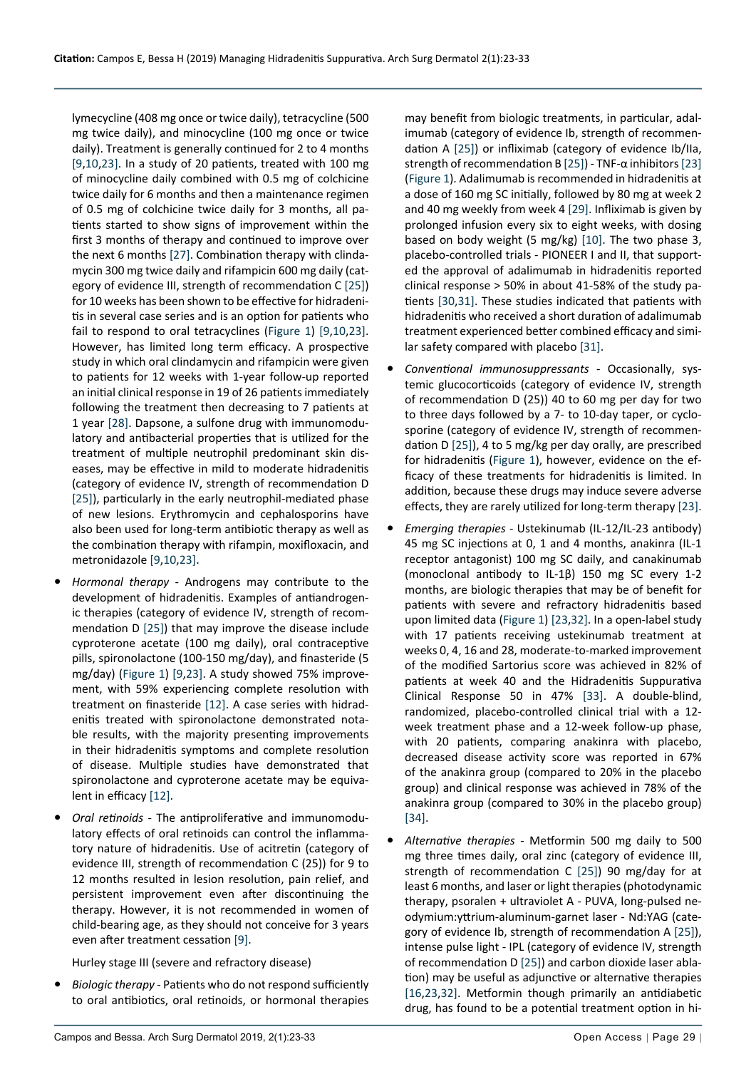lymecycline (408 mg once or twice daily), tetracycline (500 mg twice daily), and minocycline (100 mg once or twice daily). Treatment is generally continued for 2 to 4 months [[9](#page-9-12)[,10](#page-9-10),[23](#page-9-22)]. In a study of 20 patients, treated with 100 mg of minocycline daily combined with 0.5 mg of colchicine twice daily for 6 months and then a maintenance regimen of 0.5 mg of colchicine twice daily for 3 months, all patients started to show signs of improvement within the first 3 months of therapy and continued to improve over the next 6 months [[27\]](#page-9-32). Combination therapy with clindamycin 300 mg twice daily and rifampicin 600 mg daily (category of evidence III, strength of recommendation C [\[25](#page-9-24)]) for 10 weeks has been shown to be effective for hidradenitis in several case series and is an option for patients who fail to respond to oral tetracyclines [\(Figure 1](#page-5-0)) [[9,](#page-9-12)[10](#page-9-10),[23\]](#page-9-22). However, has limited long term efficacy. A prospective study in which oral clindamycin and rifampicin were given to patients for 12 weeks with 1-year follow-up reported an initial clinical response in 19 of 26 patients immediately following the treatment then decreasing to 7 patients at 1 year [\[28](#page-9-33)]. Dapsone, a sulfone drug with immunomodulatory and antibacterial properties that is utilized for the treatment of multiple neutrophil predominant skin diseases, may be effective in mild to moderate hidradenitis (category of evidence IV, strength of recommendation D [[25\]](#page-9-24)), particularly in the early neutrophil-mediated phase of new lesions. Erythromycin and cephalosporins have also been used for long-term antibiotic therapy as well as the combination therapy with rifampin, moxifloxacin, and metronidazole [\[9](#page-9-12),[10](#page-9-10)[,23\]](#page-9-22).

- **•**  *Hormonal therapy* Androgens may contribute to the development of hidradenitis. Examples of antiandrogenic therapies (category of evidence IV, strength of recommendation D [\[25](#page-9-24)]) that may improve the disease include cyproterone acetate (100 mg daily), oral contraceptive pills, spironolactone (100-150 mg/day), and finasteride (5 mg/day) ([Figure 1\)](#page-5-0) [[9](#page-9-12),[23\]](#page-9-22). A study showed 75% improvement, with 59% experiencing complete resolution with treatment on finasteride [[12\]](#page-9-14). A case series with hidradenitis treated with spironolactone demonstrated notable results, with the majority presenting improvements in their hidradenitis symptoms and complete resolution of disease. Multiple studies have demonstrated that spironolactone and cyproterone acetate may be equivalent in efficacy [[12\]](#page-9-14).
- **Oral retinoids** The antiproliferative and immunomodulatory effects of oral retinoids can control the inflammatory nature of hidradenitis. Use of acitretin (category of evidence III, strength of recommendation C (25)) for 9 to 12 months resulted in lesion resolution, pain relief, and persistent improvement even after discontinuing the therapy. However, it is not recommended in women of child-bearing age, as they should not conceive for 3 years even after treatment cessation [\[9](#page-9-12)].

Hurley stage III (severe and refractory disease)

**Biologic therapy - Patients who do not respond sufficiently** to oral antibiotics, oral retinoids, or hormonal therapies

may benefit from biologic treatments, in particular, adalimumab (category of evidence Ib, strength of recommendation A [[25\]](#page-9-24)) or infliximab (category of evidence Ib/IIa, strength of recommendation B [\[25](#page-9-24)]) - TNF-α inhibitors [[23\]](#page-9-22) ([Figure 1](#page-5-0)). Adalimumab is recommended in hidradenitis at a dose of 160 mg SC initially, followed by 80 mg at week 2 and 40 mg weekly from week 4 [\[29\]](#page-9-26). Infliximab is given by prolonged infusion every six to eight weeks, with dosing based on body weight (5 mg/kg) [\[10](#page-9-10)]. The two phase 3, placebo-controlled trials - PIONEER I and II, that supported the approval of adalimumab in hidradenitis reported clinical response > 50% in about 41-58% of the study patients [[30](#page-9-28),[31\]](#page-9-29). These studies indicated that patients with hidradenitis who received a short duration of adalimumab treatment experienced better combined efficacy and similar safety compared with placebo [[31\]](#page-9-29).

- Conventional immunosuppressants Occasionally, systemic glucocorticoids (category of evidence IV, strength of recommendation D (25)) 40 to 60 mg per day for two to three days followed by a 7- to 10-day taper, or cyclosporine (category of evidence IV, strength of recommendation D [[25](#page-9-24)]), 4 to 5 mg/kg per day orally, are prescribed for hidradenitis [\(Figure 1\)](#page-5-0), however, evidence on the efficacy of these treatments for hidradenitis is limited. In addition, because these drugs may induce severe adverse effects, they are rarely utilized for long-term therapy [\[23](#page-9-22)].
- **•**  *Emerging therapies* Ustekinumab (IL-12/IL-23 antibody) 45 mg SC injections at 0, 1 and 4 months, anakinra (IL-1 receptor antagonist) 100 mg SC daily, and canakinumab (monoclonal antibody to IL-1β) 150 mg SC every 1-2 months, are biologic therapies that may be of benefit for patients with severe and refractory hidradenitis based upon limited data [\(Figure 1\)](#page-5-0) [\[23](#page-9-22),[32\]](#page-9-27). In a open-label study with 17 patients receiving ustekinumab treatment at weeks 0, 4, 16 and 28, moderate-to-marked improvement of the modified Sartorius score was achieved in 82% of patients at week 40 and the Hidradenitis Suppurativa Clinical Response 50 in 47% [\[33](#page-9-30)]. A double-blind, randomized, placebo-controlled clinical trial with a 12 week treatment phase and a 12-week follow-up phase, with 20 patients, comparing anakinra with placebo, decreased disease activity score was reported in 67% of the anakinra group (compared to 20% in the placebo group) and clinical response was achieved in 78% of the anakinra group (compared to 30% in the placebo group) [[34](#page-9-31)].
- Alternative therapies Metformin 500 mg daily to 500 mg three times daily, oral zinc (category of evidence III, strength of recommendation C [[25\]](#page-9-24)) 90 mg/day for at least 6 months, and laser or light therapies (photodynamic therapy, psoralen + ultraviolet A - PUVA, long-pulsed neodymium:yttrium-aluminum-garnet laser - Nd:YAG (category of evidence Ib, strength of recommendation A [\[25](#page-9-24)]), intense pulse light - IPL (category of evidence IV, strength of recommendation D [\[25](#page-9-24)]) and carbon dioxide laser ablation) may be useful as adjunctive or alternative therapies [[16](#page-9-15),[23,](#page-9-22)[32](#page-9-27)]. Metformin though primarily an antidiabetic drug, has found to be a potential treatment option in hi-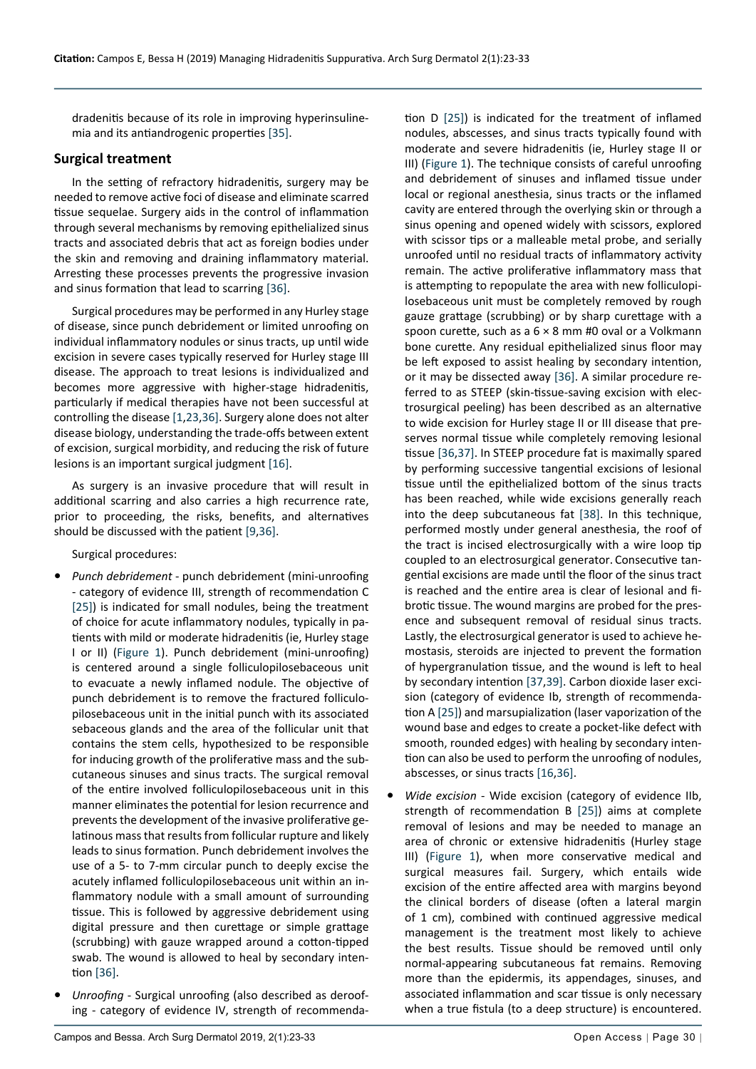dradenitis because of its role in improving hyperinsulinemia and its antiandrogenic properties [\[35](#page-10-4)].

#### **Surgical treatment**

In the setting of refractory hidradenitis, surgery may be needed to remove active foci of disease and eliminate scarred tissue sequelae. Surgery aids in the control of inflammation through several mechanisms by removing epithelialized sinus tracts and associated debris that act as foreign bodies under the skin and removing and draining inflammatory material. Arresting these processes prevents the progressive invasion and sinus formation that lead to scarring [[36](#page-10-0)].

Surgical procedures may be performed in any Hurley stage of disease, since punch debridement or limited unroofing on individual inflammatory nodules or sinus tracts, up until wide excision in severe cases typically reserved for Hurley stage III disease. The approach to treat lesions is individualized and becomes more aggressive with higher-stage hidradenitis, particularly if medical therapies have not been successful at controlling the disease [[1](#page-9-0)[,23,](#page-9-22)[36](#page-10-0)]. Surgery alone does not alter disease biology, understanding the trade-offs between extent of excision, surgical morbidity, and reducing the risk of future lesions is an important surgical judgment [\[16\]](#page-9-15).

As surgery is an invasive procedure that will result in additional scarring and also carries a high recurrence rate, prior to proceeding, the risks, benefits, and alternatives should be discussed with the patient [\[9,](#page-9-12)[36](#page-10-0)].

Surgical procedures:

- **•**  *Punch debridement*  punch debridement (mini-unroofing - category of evidence III, strength of recommendation C [[25\]](#page-9-24)) is indicated for small nodules, being the treatment of choice for acute inflammatory nodules, typically in patients with mild or moderate hidradenitis (ie, Hurley stage I or II) [\(Figure 1\)](#page-5-0). Punch debridement (mini-unroofing) is centered around a single folliculopilosebaceous unit to evacuate a newly inflamed nodule. The objective of punch debridement is to remove the fractured folliculopilosebaceous unit in the initial punch with its associated sebaceous glands and the area of the follicular unit that contains the stem cells, hypothesized to be responsible for inducing growth of the proliferative mass and the subcutaneous sinuses and sinus tracts. The surgical removal of the entire involved folliculopilosebaceous unit in this manner eliminates the potential for lesion recurrence and prevents the development of the invasive proliferative gelatinous mass that results from follicular rupture and likely leads to sinus formation. Punch debridement involves the use of a 5- to 7-mm circular punch to deeply excise the acutely inflamed folliculopilosebaceous unit within an inflammatory nodule with a small amount of surrounding tissue. This is followed by aggressive debridement using digital pressure and then curettage or simple grattage (scrubbing) with gauze wrapped around a cotton-tipped swab. The wound is allowed to heal by secondary intention [\[36](#page-10-0)].
- **•**  *Unroofing*  Surgical unroofing (also described as deroofing - category of evidence IV, strength of recommenda-

tion D [[25\]](#page-9-24)) is indicated for the treatment of inflamed nodules, abscesses, and sinus tracts typically found with moderate and severe hidradenitis (ie, Hurley stage II or III) [\(Figure 1\)](#page-5-0). The technique consists of careful unroofing and debridement of sinuses and inflamed tissue under local or regional anesthesia, sinus tracts or the inflamed cavity are entered through the overlying skin or through a sinus opening and opened widely with scissors, explored with scissor tips or a malleable metal probe, and serially unroofed until no residual tracts of inflammatory activity remain. The active proliferative inflammatory mass that is attempting to repopulate the area with new folliculopilosebaceous unit must be completely removed by rough gauze grattage (scrubbing) or by sharp curettage with a spoon curette, such as a 6 × 8 mm #0 oval or a Volkmann bone curette. Any residual epithelialized sinus floor may be left exposed to assist healing by secondary intention, or it may be dissected away [[36\]](#page-10-0). A similar procedure referred to as STEEP (skin-tissue-saving excision with electrosurgical peeling) has been described as an alternative to wide excision for Hurley stage II or III disease that preserves normal tissue while completely removing lesional tissue [[36](#page-10-0),[37\]](#page-10-1). In STEEP procedure fat is maximally spared by performing successive tangential excisions of lesional tissue until the epithelialized bottom of the sinus tracts has been reached, while wide excisions generally reach into the deep subcutaneous fat [\[38\]](#page-10-2). In this technique, performed mostly under general anesthesia, the roof of the tract is incised electrosurgically with a wire loop tip coupled to an electrosurgical generator. Consecutive tangential excisions are made until the floor of the sinus tract is reached and the entire area is clear of lesional and fibrotic tissue. The wound margins are probed for the presence and subsequent removal of residual sinus tracts. Lastly, the electrosurgical generator is used to achieve hemostasis, steroids are injected to prevent the formation of hypergranulation tissue, and the wound is left to heal by secondary intention [[37](#page-10-1)[,39](#page-10-3)]. Carbon dioxide laser excision (category of evidence Ib, strength of recommendation A [[25\]](#page-9-24)) and marsupialization (laser vaporization of the wound base and edges to create a pocket-like defect with smooth, rounded edges) with healing by secondary intention can also be used to perform the unroofing of nodules, abscesses, or sinus tracts [[16](#page-9-15),[36\]](#page-10-0).

Wide excision - Wide excision (category of evidence IIb, strength of recommendation B [[25](#page-9-24)]) aims at complete removal of lesions and may be needed to manage an area of chronic or extensive hidradenitis (Hurley stage III) [\(Figure 1\)](#page-5-0), when more conservative medical and surgical measures fail. Surgery, which entails wide excision of the entire affected area with margins beyond the clinical borders of disease (often a lateral margin of 1 cm), combined with continued aggressive medical management is the treatment most likely to achieve the best results. Tissue should be removed until only normal-appearing subcutaneous fat remains. Removing more than the epidermis, its appendages, sinuses, and associated inflammation and scar tissue is only necessary when a true fistula (to a deep structure) is encountered.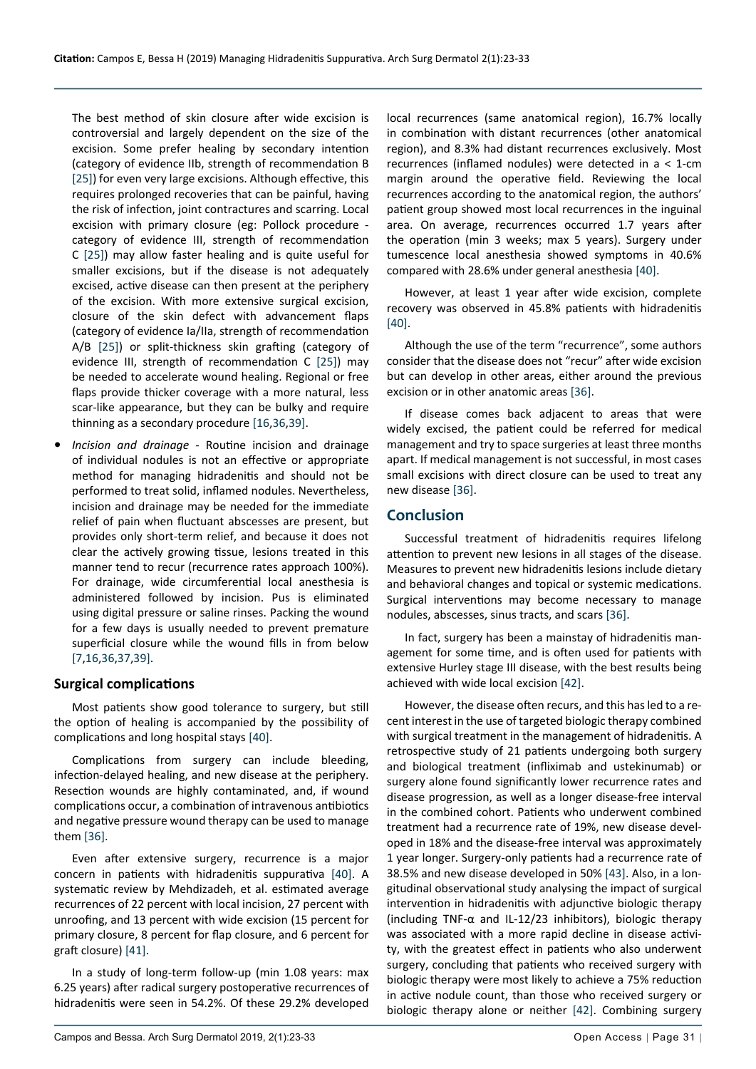The best method of skin closure after wide excision is controversial and largely dependent on the size of the excision. Some prefer healing by secondary intention (category of evidence IIb, strength of recommendation B [[25\]](#page-9-24)) for even very large excisions. Although effective, this requires prolonged recoveries that can be painful, having the risk of infection, joint contractures and scarring. Local excision with primary closure (eg: Pollock procedure category of evidence III, strength of recommendation C [[25](#page-9-24)]) may allow faster healing and is quite useful for smaller excisions, but if the disease is not adequately excised, active disease can then present at the periphery of the excision. With more extensive surgical excision, closure of the skin defect with advancement flaps (category of evidence Ia/IIa, strength of recommendation A/B [\[25\]](#page-9-24)) or split-thickness skin grafting (category of evidence III, strength of recommendation C [\[25\]](#page-9-24)) may be needed to accelerate wound healing. Regional or free flaps provide thicker coverage with a more natural, less scar-like appearance, but they can be bulky and require thinning as a secondary procedure [\[16](#page-9-15),[36](#page-10-0)[,39\]](#page-10-3).

**Incision and drainage** - Routine incision and drainage of individual nodules is not an effective or appropriate method for managing hidradenitis and should not be performed to treat solid, inflamed nodules. Nevertheless, incision and drainage may be needed for the immediate relief of pain when fluctuant abscesses are present, but provides only short-term relief, and because it does not clear the actively growing tissue, lesions treated in this manner tend to recur (recurrence rates approach 100%). For drainage, wide circumferential local anesthesia is administered followed by incision. Pus is eliminated using digital pressure or saline rinses. Packing the wound for a few days is usually needed to prevent premature superficial closure while the wound fills in from below [[7](#page-9-6),[16](#page-9-15),[36](#page-10-0),[37](#page-10-1)[,39](#page-10-3)].

#### **Surgical complications**

Most patients show good tolerance to surgery, but still the option of healing is accompanied by the possibility of complications and long hospital stays [[40](#page-10-5)].

Complications from surgery can include bleeding, infection-delayed healing, and new disease at the periphery. Resection wounds are highly contaminated, and, if wound complications occur, a combination of intravenous antibiotics and negative pressure wound therapy can be used to manage them [\[36\]](#page-10-0).

Even after extensive surgery, recurrence is a major concern in patients with hidradenitis suppurativa [[40](#page-10-5)]. A systematic review by Mehdizadeh, et al. estimated average recurrences of 22 percent with local incision, 27 percent with unroofing, and 13 percent with wide excision (15 percent for primary closure, 8 percent for flap closure, and 6 percent for graft closure) [[41\]](#page-10-8).

In a study of long-term follow-up (min 1.08 years: max 6.25 years) after radical surgery postoperative recurrences of hidradenitis were seen in 54.2%. Of these 29.2% developed local recurrences (same anatomical region), 16.7% locally in combination with distant recurrences (other anatomical region), and 8.3% had distant recurrences exclusively. Most recurrences (inflamed nodules) were detected in a < 1-cm margin around the operative field. Reviewing the local recurrences according to the anatomical region, the authors' patient group showed most local recurrences in the inguinal area. On average, recurrences occurred 1.7 years after the operation (min 3 weeks; max 5 years). Surgery under tumescence local anesthesia showed symptoms in 40.6% compared with 28.6% under general anesthesia [[40\]](#page-10-5).

However, at least 1 year after wide excision, complete recovery was observed in 45.8% patients with hidradenitis [[40\]](#page-10-5).

Although the use of the term "recurrence", some authors consider that the disease does not "recur" after wide excision but can develop in other areas, either around the previous excision or in other anatomic areas [\[36\]](#page-10-0).

If disease comes back adjacent to areas that were widely excised, the patient could be referred for medical management and try to space surgeries at least three months apart. If medical management is not successful, in most cases small excisions with direct closure can be used to treat any new disease [[36\]](#page-10-0).

# **Conclusion**

Successful treatment of hidradenitis requires lifelong attention to prevent new lesions in all stages of the disease. Measures to prevent new hidradenitis lesions include dietary and behavioral changes and topical or systemic medications. Surgical interventions may become necessary to manage nodules, abscesses, sinus tracts, and scars [\[36](#page-10-0)].

In fact, surgery has been a mainstay of hidradenitis management for some time, and is often used for patients with extensive Hurley stage III disease, with the best results being achieved with wide local excision [[42\]](#page-10-6).

However, the disease often recurs, and this has led to a recent interest in the use of targeted biologic therapy combined with surgical treatment in the management of hidradenitis. A retrospective study of 21 patients undergoing both surgery and biological treatment (infliximab and ustekinumab) or surgery alone found significantly lower recurrence rates and disease progression, as well as a longer disease-free interval in the combined cohort. Patients who underwent combined treatment had a recurrence rate of 19%, new disease developed in 18% and the disease-free interval was approximately 1 year longer. Surgery-only patients had a recurrence rate of 38.5% and new disease developed in 50% [[43\]](#page-10-7). Also, in a longitudinal observational study analysing the impact of surgical intervention in hidradenitis with adjunctive biologic therapy (including TNF-α and IL-12/23 inhibitors), biologic therapy was associated with a more rapid decline in disease activity, with the greatest effect in patients who also underwent surgery, concluding that patients who received surgery with biologic therapy were most likely to achieve a 75% reduction in active nodule count, than those who received surgery or biologic therapy alone or neither [\[42](#page-10-6)]. Combining surgery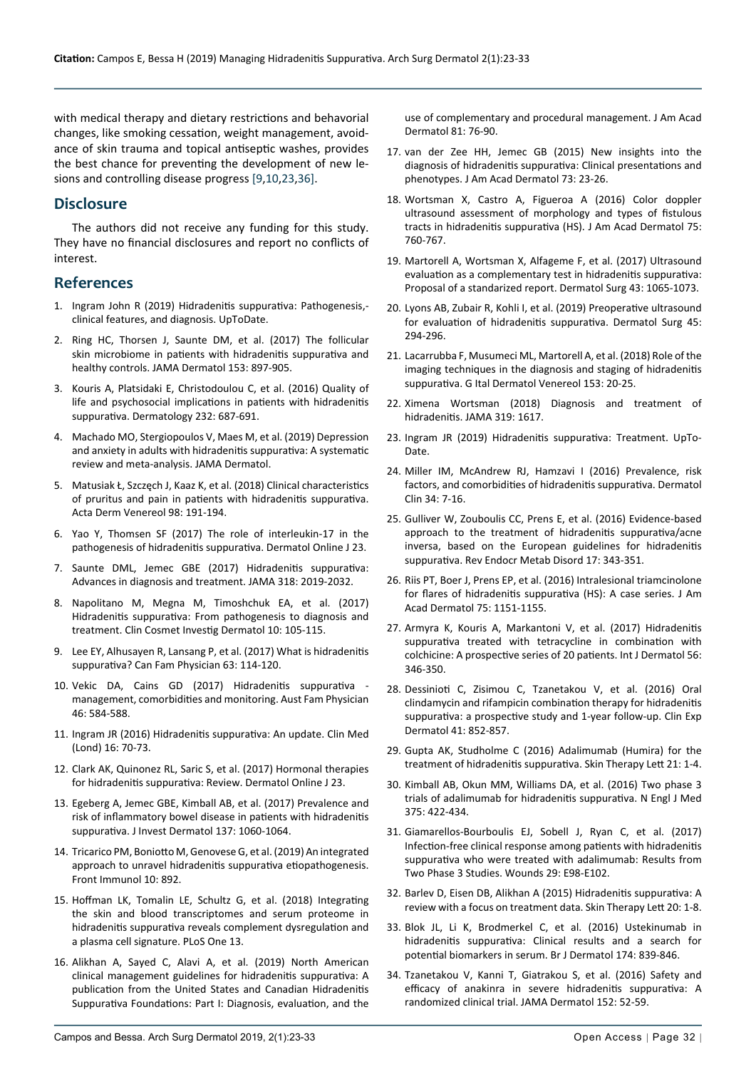with medical therapy and dietary restrictions and behavorial changes, like smoking cessation, weight management, avoidance of skin trauma and topical antiseptic washes, provides the best chance for preventing the development of new lesions and controlling disease progress [[9,](#page-9-12)[10](#page-9-10),[23,](#page-9-22)[36\]](#page-10-0).

# **Disclosure**

The authors did not receive any funding for this study. They have no financial disclosures and report no conflicts of interest.

# **References**

- <span id="page-9-0"></span>1. [Ingram John R \(2019\) Hidradenitis suppurativa: Pathogenesis,](https://www.uptodate.com/contents/hidradenitis-suppurativa-pathogenesis-clinical-features-and-diagnosis) [clinical features, and diagnosis. UpToDate.](https://www.uptodate.com/contents/hidradenitis-suppurativa-pathogenesis-clinical-features-and-diagnosis)
- <span id="page-9-1"></span>2. [Ring HC, Thorsen J, Saunte DM, et al. \(2017\) The follicular](https://www.ncbi.nlm.nih.gov/pubmed/28538949)  [skin microbiome in patients with hidradenitis suppurativa and](https://www.ncbi.nlm.nih.gov/pubmed/28538949)  [healthy controls. JAMA Dermatol 153: 897-905.](https://www.ncbi.nlm.nih.gov/pubmed/28538949)
- <span id="page-9-2"></span>3. [Kouris A, Platsidaki E, Christodoulou C, et al. \(2016\) Quality of](https://www.ncbi.nlm.nih.gov/pubmed/28052274)  [life and psychosocial implications in patients with hidradenitis](https://www.ncbi.nlm.nih.gov/pubmed/28052274)  [suppurativa. Dermatology 232: 687-691.](https://www.ncbi.nlm.nih.gov/pubmed/28052274)
- <span id="page-9-3"></span>4. [Machado MO, Stergiopoulos V, Maes M, et al. \(2019\) Depression](https://www.ncbi.nlm.nih.gov/pubmed/31166590)  [and anxiety in adults with hidradenitis suppurativa: A systematic](https://www.ncbi.nlm.nih.gov/pubmed/31166590)  [review and meta-analysis. JAMA Dermatol.](https://www.ncbi.nlm.nih.gov/pubmed/31166590)
- <span id="page-9-4"></span>5. [Matusiak Ł, Szczęch J, Kaaz K, et al. \(2018\) Clinical characteristics](https://www.ncbi.nlm.nih.gov/pubmed/28971209)  [of pruritus and pain in patients with hidradenitis suppurativa.](https://www.ncbi.nlm.nih.gov/pubmed/28971209)  [Acta Derm Venereol 98: 191-194.](https://www.ncbi.nlm.nih.gov/pubmed/28971209)
- <span id="page-9-5"></span>6. [Yao Y, Thomsen SF \(2017\) The role of interleukin-17 in the](https://www.ncbi.nlm.nih.gov/pubmed/29469692)  [pathogenesis of hidradenitis suppurativa. Dermatol Online J 23.](https://www.ncbi.nlm.nih.gov/pubmed/29469692)
- <span id="page-9-6"></span>7. [Saunte DML, Jemec GBE \(2017\) Hidradenitis suppurativa:](https://www.ncbi.nlm.nih.gov/pubmed/29183082)  [Advances in diagnosis and treatment. JAMA 318: 2019-2032.](https://www.ncbi.nlm.nih.gov/pubmed/29183082)
- <span id="page-9-11"></span>8. [Napolitano M, Megna M, Timoshchuk EA, et al. \(2017\)](https://www.ncbi.nlm.nih.gov/pubmed/28458570)  [Hidradenitis suppurativa: From pathogenesis to diagnosis and](https://www.ncbi.nlm.nih.gov/pubmed/28458570)  [treatment. Clin Cosmet Investig Dermatol 10: 105-115.](https://www.ncbi.nlm.nih.gov/pubmed/28458570)
- <span id="page-9-12"></span>9. [Lee EY, Alhusayen R, Lansang P, et al. \(2017\) What is hidradenitis](https://www.ncbi.nlm.nih.gov/pubmed/28209676)  [suppurativa? Can Fam Physician 63: 114-120.](https://www.ncbi.nlm.nih.gov/pubmed/28209676)
- <span id="page-9-10"></span>10. [Vekic DA, Cains GD \(2017\) Hidradenitis suppurativa](https://www.ncbi.nlm.nih.gov/pubmed/28787558)  [management, comorbidities and monitoring. Aust Fam Physician](https://www.ncbi.nlm.nih.gov/pubmed/28787558)  [46: 584-588.](https://www.ncbi.nlm.nih.gov/pubmed/28787558)
- <span id="page-9-13"></span>11. [Ingram JR \(2016\) Hidradenitis suppurativa: An update. Clin Med](https://www.ncbi.nlm.nih.gov/pubmed/26833521)  [\(Lond\) 16: 70-73.](https://www.ncbi.nlm.nih.gov/pubmed/26833521)
- <span id="page-9-14"></span>12. [Clark AK, Quinonez RL, Saric S, et al. \(2017\) Hormonal therapies](https://www.ncbi.nlm.nih.gov/pubmed/29469777)  [for hidradenitis suppurativa: Review. Dermatol Online J 23.](https://www.ncbi.nlm.nih.gov/pubmed/29469777)
- <span id="page-9-9"></span>13. [Egeberg A, Jemec GBE, Kimball AB, et al. \(2017\) Prevalence and](https://www.ncbi.nlm.nih.gov/pubmed/28089682)  [risk of inflammatory bowel disease in patients with hidradenitis](https://www.ncbi.nlm.nih.gov/pubmed/28089682)  [suppurativa. J Invest Dermatol 137: 1060-1064.](https://www.ncbi.nlm.nih.gov/pubmed/28089682)
- <span id="page-9-7"></span>14. [Tricarico PM, Boniotto M, Genovese G, et al. \(2019\) An integrated](https://www.ncbi.nlm.nih.gov/pubmed/31105704)  [approach to unravel hidradenitis suppurativa etiopathogenesis.](https://www.ncbi.nlm.nih.gov/pubmed/31105704)  [Front Immunol 10: 892.](https://www.ncbi.nlm.nih.gov/pubmed/31105704)
- <span id="page-9-8"></span>15. [Hoffman LK, Tomalin LE, Schultz G, et al. \(2018\) Integrating](https://www.ncbi.nlm.nih.gov/pubmed/30265680)  [the skin and blood transcriptomes and serum proteome in](https://www.ncbi.nlm.nih.gov/pubmed/30265680)  [hidradenitis suppurativa reveals complement dysregulation and](https://www.ncbi.nlm.nih.gov/pubmed/30265680)  [a plasma cell signature. PLoS One 13.](https://www.ncbi.nlm.nih.gov/pubmed/30265680)
- <span id="page-9-15"></span>16. [Alikhan A, Sayed C, Alavi A, et al. \(2019\) North American](https://www.ncbi.nlm.nih.gov/pubmed/30872156)  [clinical management guidelines for hidradenitis suppurativa: A](https://www.ncbi.nlm.nih.gov/pubmed/30872156)  [publication from the United States and Canadian Hidradenitis](https://www.ncbi.nlm.nih.gov/pubmed/30872156)  [Suppurativa Foundations: Part I: Diagnosis, evaluation, and the](https://www.ncbi.nlm.nih.gov/pubmed/30872156)

[use of complementary and procedural management. J Am Acad](https://www.ncbi.nlm.nih.gov/pubmed/30872156)  [Dermatol 81: 76-90.](https://www.ncbi.nlm.nih.gov/pubmed/30872156)

- <span id="page-9-18"></span>17. [van der Zee HH, Jemec GB \(2015\) New insights into the](https://www.ncbi.nlm.nih.gov/pubmed/26470610)  [diagnosis of hidradenitis suppurativa: Clinical presentations and](https://www.ncbi.nlm.nih.gov/pubmed/26470610)  [phenotypes. J Am Acad Dermatol 73: 23-26.](https://www.ncbi.nlm.nih.gov/pubmed/26470610)
- <span id="page-9-17"></span>18. [Wortsman X, Castro A, Figueroa A \(2016\) Color doppler](https://www.ncbi.nlm.nih.gov/pubmed/27498279)  [ultrasound assessment of morphology and types of fistulous](https://www.ncbi.nlm.nih.gov/pubmed/27498279)  [tracts in hidradenitis suppurativa \(HS\). J Am Acad Dermatol 75:](https://www.ncbi.nlm.nih.gov/pubmed/27498279)  [760-767.](https://www.ncbi.nlm.nih.gov/pubmed/27498279)
- <span id="page-9-16"></span>19. [Martorell A, Wortsman X, Alfageme F, et al. \(2017\) Ultrasound](https://www.ncbi.nlm.nih.gov/pubmed/28538033)  [evaluation as a complementary test in hidradenitis suppurativa:](https://www.ncbi.nlm.nih.gov/pubmed/28538033)  [Proposal of a standarized report. Dermatol Surg 43: 1065-1073.](https://www.ncbi.nlm.nih.gov/pubmed/28538033)
- <span id="page-9-19"></span>20. [Lyons AB, Zubair R, Kohli I, et al. \(2019\) Preoperative ultrasound](https://www.ncbi.nlm.nih.gov/pubmed/30726198)  [for evaluation of hidradenitis suppurativa. Dermatol Surg 45:](https://www.ncbi.nlm.nih.gov/pubmed/30726198)  [294-296.](https://www.ncbi.nlm.nih.gov/pubmed/30726198)
- <span id="page-9-20"></span>21. [Lacarrubba F, Musumeci ML, Martorell A, et al. \(2018\) Role of the](https://www.ncbi.nlm.nih.gov/pubmed/30468377)  [imaging techniques in the diagnosis and staging of hidradenitis](https://www.ncbi.nlm.nih.gov/pubmed/30468377)  [suppurativa. G Ital Dermatol Venereol 153: 20-25.](https://www.ncbi.nlm.nih.gov/pubmed/30468377)
- <span id="page-9-21"></span>22. [Ximena Wortsman \(2018\) Diagnosis and treatment of](https://jamanetwork.com/journals/jama/article-abstract/2678607)  [hidradenitis. JAMA 319: 1617.](https://jamanetwork.com/journals/jama/article-abstract/2678607)
- <span id="page-9-22"></span>23. [Ingram JR \(2019\) Hidradenitis suppurativa: Treatment. UpTo](https://www.uptodate.com/contents/hidradenitis-suppurativa-treatment/print)-[Date.](https://www.uptodate.com/contents/hidradenitis-suppurativa-treatment/print)
- <span id="page-9-23"></span>24. [Miller IM, McAndrew RJ, Hamzavi I \(2016\) Prevalence, risk](https://www.ncbi.nlm.nih.gov/pubmed/26617352)  [factors, and comorbidities of hidradenitis suppurativa. Dermatol](https://www.ncbi.nlm.nih.gov/pubmed/26617352)   $C$ lin 34 $\cdot$  7-16.
- <span id="page-9-24"></span>25. [Gulliver W, Zouboulis CC, Prens E, et al. \(2016\) Evidence-based](https://www.ncbi.nlm.nih.gov/pubmed/26831295)  [approach to the treatment of hidradenitis suppurativa/acne](https://www.ncbi.nlm.nih.gov/pubmed/26831295)  [inversa, based on the European guidelines for hidradenitis](https://www.ncbi.nlm.nih.gov/pubmed/26831295)  [suppurativa. Rev Endocr Metab Disord 17: 343-351.](https://www.ncbi.nlm.nih.gov/pubmed/26831295)
- <span id="page-9-25"></span>26. [Riis PT, Boer J, Prens EP, et al. \(2016\) Intralesional triamcinolone](https://www.ncbi.nlm.nih.gov/pubmed/27692735)  [for flares of hidradenitis suppurativa \(HS\): A case series. J Am](https://www.ncbi.nlm.nih.gov/pubmed/27692735)  [Acad Dermatol 75: 1151-1155.](https://www.ncbi.nlm.nih.gov/pubmed/27692735)
- <span id="page-9-32"></span>27. [Armyra K, Kouris A, Markantoni V, et al. \(2017\) Hidradenitis](https://www.ncbi.nlm.nih.gov/pubmed/28054351)  [suppurativa treated with tetracycline in combination with](https://www.ncbi.nlm.nih.gov/pubmed/28054351)  [colchicine: A prospective series of 20 patients. Int J Dermatol 56:](https://www.ncbi.nlm.nih.gov/pubmed/28054351)  [346-350.](https://www.ncbi.nlm.nih.gov/pubmed/28054351)
- <span id="page-9-33"></span>28. [Dessinioti C, Zisimou C, Tzanetakou V, et al. \(2016\) Oral](https://www.ncbi.nlm.nih.gov/pubmed/27753139)  [clindamycin and rifampicin combination therapy for hidradenitis](https://www.ncbi.nlm.nih.gov/pubmed/27753139)  [suppurativa: a prospective study and 1-year follow-up. Clin Exp](https://www.ncbi.nlm.nih.gov/pubmed/27753139)  [Dermatol 41: 852-857.](https://www.ncbi.nlm.nih.gov/pubmed/27753139)
- <span id="page-9-26"></span>29. [Gupta AK, Studholme C \(2016\) Adalimumab \(Humira\) for the](https://www.ncbi.nlm.nih.gov/pubmed/27388530)  [treatment of hidradenitis suppurativa. Skin Therapy Lett 21: 1-4.](https://www.ncbi.nlm.nih.gov/pubmed/27388530)
- <span id="page-9-28"></span>30. [Kimball AB, Okun MM, Williams DA, et al. \(2016\) Two phase 3](https://www.ncbi.nlm.nih.gov/pubmed/27518661)  [trials of adalimumab for hidradenitis suppurativa. N Engl J Med](https://www.ncbi.nlm.nih.gov/pubmed/27518661)  [375: 422-434.](https://www.ncbi.nlm.nih.gov/pubmed/27518661)
- <span id="page-9-29"></span>31. [Giamarellos-Bourboulis EJ, Sobell J, Ryan C, et al. \(2017\)](https://www.ncbi.nlm.nih.gov/pubmed/29166256)  [Infection-free clinical response among patients with hidradenitis](https://www.ncbi.nlm.nih.gov/pubmed/29166256)  [suppurativa who were treated with adalimumab: Results from](https://www.ncbi.nlm.nih.gov/pubmed/29166256)  [Two Phase 3 Studies. Wounds 29: E98-E102.](https://www.ncbi.nlm.nih.gov/pubmed/29166256)
- <span id="page-9-27"></span>32. [Barlev D, Eisen DB, Alikhan A \(2015\) Hidradenitis suppurativa: A](https://www.ncbi.nlm.nih.gov/pubmed/26382710)  [review with a focus on treatment data. Skin Therapy Lett 20: 1-8.](https://www.ncbi.nlm.nih.gov/pubmed/26382710)
- <span id="page-9-30"></span>33. [Blok JL, Li K, Brodmerkel C, et al. \(2016\) Ustekinumab in](https://www.ncbi.nlm.nih.gov/pubmed/26641739)  [hidradenitis suppurativa: Clinical results and a search for](https://www.ncbi.nlm.nih.gov/pubmed/26641739)  [potential biomarkers in serum. Br J Dermatol 174: 839-846.](https://www.ncbi.nlm.nih.gov/pubmed/26641739)
- <span id="page-9-31"></span>34. [Tzanetakou V, Kanni T, Giatrakou S, et al. \(2016\) Safety and](https://www.ncbi.nlm.nih.gov/pubmed/26579854)  [efficacy of anakinra in severe hidradenitis suppurativa: A](https://www.ncbi.nlm.nih.gov/pubmed/26579854)  [randomized clinical trial. JAMA Dermatol 152: 52-59.](https://www.ncbi.nlm.nih.gov/pubmed/26579854)